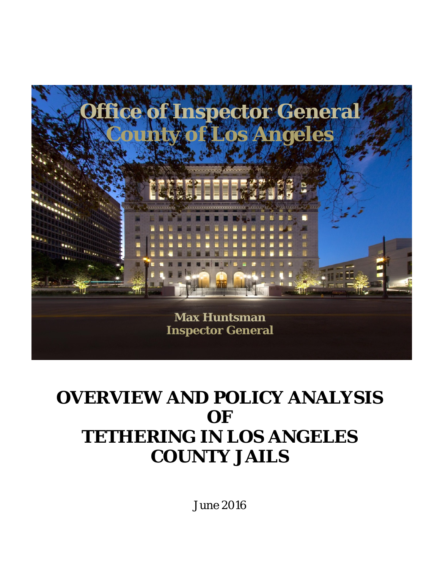

# **OVERVIEW AND POLICY ANALYSIS OF TETHERING IN LOS ANGELES COUNTY JAILS**

June 2016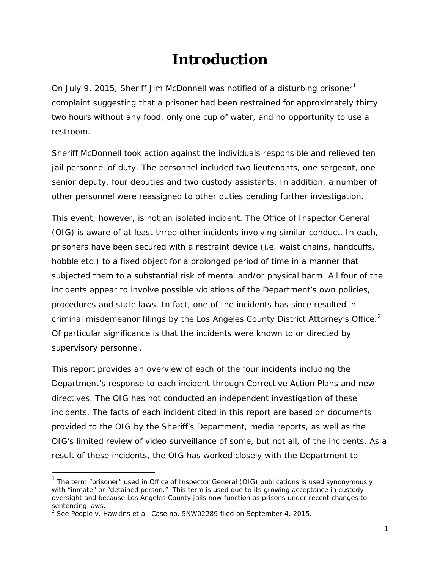### **Introduction**

On July 9, 20[1](#page-1-0)5, Sheriff Jim McDonnell was notified of a disturbing prisoner<sup>1</sup> complaint suggesting that a prisoner had been restrained for approximately thirty two hours without any food, only one cup of water, and no opportunity to use a restroom.

Sheriff McDonnell took action against the individuals responsible and relieved ten jail personnel of duty. The personnel included two lieutenants, one sergeant, one senior deputy, four deputies and two custody assistants. In addition, a number of other personnel were reassigned to other duties pending further investigation.

This event, however, is not an isolated incident. The Office of Inspector General (OIG) is aware of at least three other incidents involving similar conduct. In each, prisoners have been secured with a restraint device (i.e. waist chains, handcuffs, hobble etc.) to a fixed object for a prolonged period of time in a manner that subjected them to a substantial risk of mental and/or physical harm. All four of the incidents appear to involve possible violations of the Department's own policies, procedures and state laws. In fact, one of the incidents has since resulted in criminal misdemeanor filings by the Los Angeles County District Attorney's Office. $2$ Of particular significance is that the incidents were known to or directed by supervisory personnel.

This report provides an overview of each of the four incidents including the Department's response to each incident through Corrective Action Plans and new directives. The OIG has not conducted an independent investigation of these incidents. The facts of each incident cited in this report are based on documents provided to the OIG by the Sheriff's Department, media reports, as well as the OIG's limited review of video surveillance of some, but not all, of the incidents. As a result of these incidents, the OIG has worked closely with the Department to

<span id="page-1-0"></span><sup>&</sup>lt;sup>1</sup> The term "prisoner" used in Office of Inspector General (OIG) publications is used synonymously with "inmate" or "detained person." This term is used due to its growing acceptance in custody oversight and because Los Angeles County jails now function as prisons under recent changes to sentencing laws.

<span id="page-1-1"></span><sup>2</sup> See *People v. Hawkins et al.* Case no. 5NW02289 filed on September 4, 2015.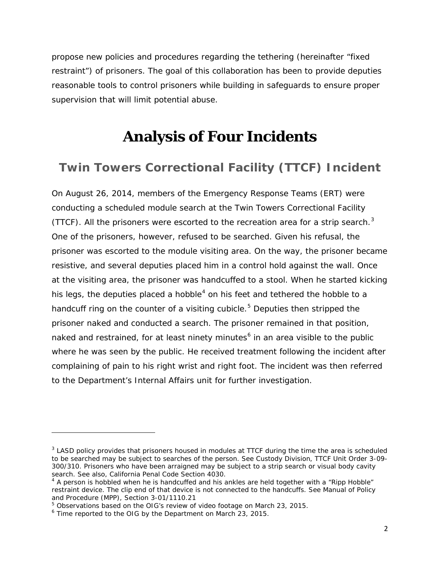propose new policies and procedures regarding the tethering (hereinafter "fixed restraint") of prisoners. The goal of this collaboration has been to provide deputies reasonable tools to control prisoners while building in safeguards to ensure proper supervision that will limit potential abuse.

### **Analysis of Four Incidents**

#### **Twin Towers Correctional Facility (TTCF) Incident**

On August 26, 2014, members of the Emergency Response Teams (ERT) were conducting a scheduled module search at the Twin Towers Correctional Facility (TTCF). All the prisoners were escorted to the recreation area for a strip search. $3$ One of the prisoners, however, refused to be searched. Given his refusal, the prisoner was escorted to the module visiting area. On the way, the prisoner became resistive, and several deputies placed him in a control hold against the wall. Once at the visiting area, the prisoner was handcuffed to a stool. When he started kicking his legs, the deputies placed a hobble<sup>[4](#page-2-1)</sup> on his feet and tethered the hobble to a handcuff ring on the counter of a visiting cubicle.<sup>[5](#page-2-2)</sup> Deputies then stripped the prisoner naked and conducted a search. The prisoner remained in that position, naked and restrained, for at least ninety minutes $6$  in an area visible to the public where he was seen by the public. He received treatment following the incident after complaining of pain to his right wrist and right foot. The incident was then referred to the Department's Internal Affairs unit for further investigation.

<span id="page-2-0"></span><sup>&</sup>lt;sup>3</sup> LASD policy provides that prisoners housed in modules at TTCF during the time the area is scheduled to be searched may be subject to searches of the person. *See* Custody Division, TTCF Unit Order 3-09- 300/310*.* Prisoners who have been arraigned may be subject to a strip search or visual body cavity search. *See also,* California Penal Code Section 4030.

<span id="page-2-1"></span> $4$  A person is hobbled when he is handcuffed and his ankles are held together with a "Ripp Hobble" restraint device. The clip end of that device is not connected to the handcuffs. See Manual of Policy and Procedure (MPP), Section 3-01/1110.21

<sup>5</sup> Observations based on the OIG's review of video footage on March 23, 2015.

<span id="page-2-3"></span><span id="page-2-2"></span><sup>6</sup> Time reported to the OIG by the Department on March 23, 2015.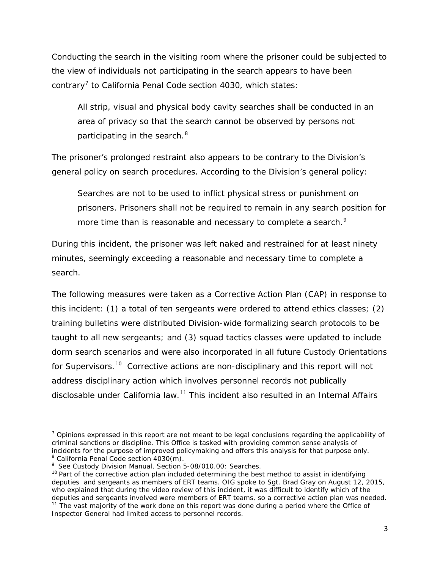Conducting the search in the visiting room where the prisoner could be subjected to the view of individuals not participating in the search appears to have been contrary<sup>[7](#page-3-0)</sup> to California Penal Code section 4030, which states:

All strip, visual and physical body cavity searches shall be conducted in an area of privacy so that the search cannot be observed by persons not participating in the search.<sup>[8](#page-3-1)</sup>

The prisoner's prolonged restraint also appears to be contrary to the Division's general policy on search procedures. According to the Division's general policy:

Searches are not to be used to inflict physical stress or punishment on prisoners. Prisoners shall not be required to remain in any search position for more time than is reasonable and necessary to complete a search.<sup>[9](#page-3-2)</sup>

During this incident, the prisoner was left naked and restrained for at least ninety minutes, seemingly exceeding a reasonable and necessary time to complete a search.

The following measures were taken as a Corrective Action Plan (CAP) in response to this incident: (1) a total of ten sergeants were ordered to attend ethics classes; (2) training bulletins were distributed Division-wide formalizing search protocols to be taught to all new sergeants; and (3) squad tactics classes were updated to include dorm search scenarios and were also incorporated in all future Custody Orientations for Supervisors.<sup>[10](#page-3-3)</sup> Corrective actions are non-disciplinary and this report will not address disciplinary action which involves personnel records not publically disclosable under California law.<sup>[11](#page-3-4)</sup> This incident also resulted in an Internal Affairs

<span id="page-3-0"></span> $7$  Opinions expressed in this report are not meant to be legal conclusions regarding the applicability of criminal sanctions or discipline. This Office is tasked with providing common sense analysis of incidents for the purpose of improved policymaking and offers this analysis for that purpose only. <sup>8</sup> California Penal Code section 4030(m).

<span id="page-3-1"></span><sup>9</sup> *See* Custody Division Manual*,* Section 5-08/010.00: Searches.

<span id="page-3-3"></span><span id="page-3-2"></span> $10$  Part of the corrective action plan included determining the best method to assist in identifying deputies and sergeants as members of ERT teams. OIG spoke to Sgt. Brad Gray on August 12, 2015, who explained that during the video review of this incident, it was difficult to identify which of the deputies and sergeants involved were members of ERT teams, so a corrective action plan was needed.

<span id="page-3-4"></span> $11$  The vast majority of the work done on this report was done during a period where the Office of Inspector General had limited access to personnel records.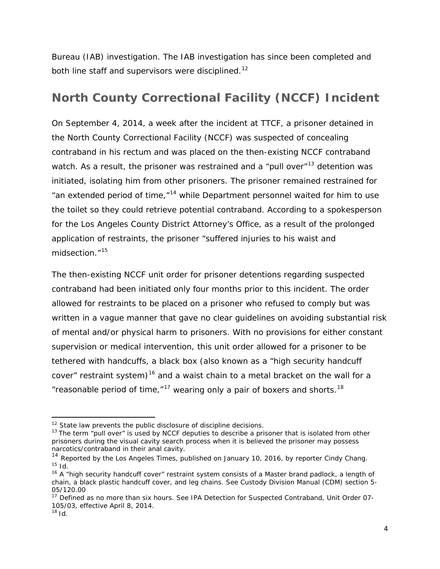Bureau (IAB) investigation. The IAB investigation has since been completed and both line staff and supervisors were disciplined.<sup>[12](#page-4-0)</sup>

### **North County Correctional Facility (NCCF) Incident**

On September 4, 2014, a week after the incident at TTCF, a prisoner detained in the North County Correctional Facility (NCCF) was suspected of concealing contraband in his rectum and was placed on the then-existing NCCF contraband watch. As a result, the prisoner was restrained and a "pull over"<sup>[13](#page-4-1)</sup> detention was initiated, isolating him from other prisoners. The prisoner remained restrained for "an extended period of time, $n^{14}$  $n^{14}$  $n^{14}$  while Department personnel waited for him to use the toilet so they could retrieve potential contraband. According to a spokesperson for the Los Angeles County District Attorney's Office, as a result of the prolonged application of restraints, the prisoner "suffered injuries to his waist and midsection."[15](#page-4-3)

The then-existing NCCF unit order for prisoner detentions regarding suspected contraband had been initiated only four months prior to this incident. The order allowed for restraints to be placed on a prisoner who refused to comply but was written in a vague manner that gave no clear guidelines on avoiding substantial risk of mental and/or physical harm to prisoners. With no provisions for either constant supervision or medical intervention, this unit order allowed for a prisoner to be tethered with handcuffs, a black box (also known as a "high security handcuff cover" restraint system)<sup>[16](#page-4-4)</sup> and a waist chain to a metal bracket on the wall for a "reasonable period of time," $17$  wearing only a pair of boxers and shorts.<sup>[18](#page-4-6)</sup>

l

 $12$  State law prevents the public disclosure of discipline decisions.

<span id="page-4-1"></span><span id="page-4-0"></span> $13$  The term "pull over" is used by NCCF deputies to describe a prisoner that is isolated from other prisoners during the visual cavity search process when it is believed the prisoner may possess narcotics/contraband in their anal cavity.

<span id="page-4-2"></span><sup>&</sup>lt;sup>14</sup> Reported by the Los Angeles Times, published on January 10, 2016, by reporter Cindy Chang. <sup>15</sup> *Id.*

<span id="page-4-4"></span><span id="page-4-3"></span><sup>&</sup>lt;sup>16</sup> A "high security handcuff cover" restraint system consists of a Master brand padlock, a length of chain, a black plastic handcuff cover, and leg chains. *See Custody Division Manual (CDM) section 5- 05/120.00*

<span id="page-4-6"></span><span id="page-4-5"></span><sup>17</sup> Defined as no more than six hours*.* See IPA Detection for Suspected Contraband, Unit Order 07- 105/03, effective April 8, 2014.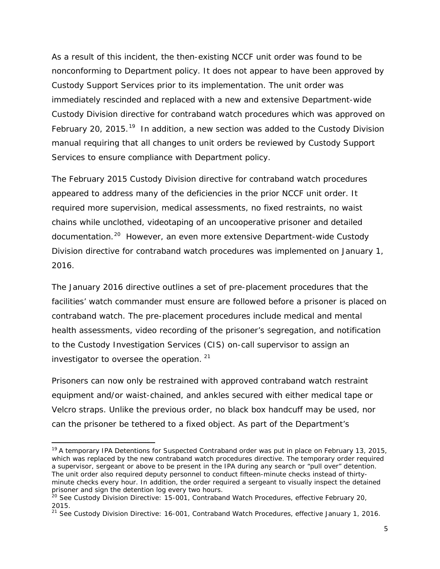As a result of this incident, the then-existing NCCF unit order was found to be nonconforming to Department policy. It does not appear to have been approved by Custody Support Services prior to its implementation. The unit order was immediately rescinded and replaced with a new and extensive Department-wide Custody Division directive for contraband watch procedures which was approved on February 20, 2015.<sup>[19](#page-5-0)</sup> In addition, a new section was added to the Custody Division manual requiring that all changes to unit orders be reviewed by Custody Support Services to ensure compliance with Department policy.

The February 2015 Custody Division directive for contraband watch procedures appeared to address many of the deficiencies in the prior NCCF unit order. It required more supervision, medical assessments, no fixed restraints, no waist chains while unclothed, videotaping of an uncooperative prisoner and detailed documentation.<sup>20</sup> However, an even more extensive Department-wide Custody Division directive for contraband watch procedures was implemented on January 1, 2016.

The January 2016 directive outlines a set of pre-placement procedures that the facilities' watch commander must ensure are followed before a prisoner is placed on contraband watch. The pre-placement procedures include medical and mental health assessments, video recording of the prisoner's segregation, and notification to the Custody Investigation Services (CIS) on-call supervisor to assign an investigator to oversee the operation. [21](#page-5-2)

Prisoners can now only be restrained with approved contraband watch restraint equipment and/or waist-chained, and ankles secured with either medical tape or Velcro straps. Unlike the previous order, no black box handcuff may be used, nor can the prisoner be tethered to a fixed object. As part of the Department's

l

<span id="page-5-0"></span><sup>&</sup>lt;sup>19</sup> A temporary IPA Detentions for Suspected Contraband order was put in place on February 13, 2015, which was replaced by the new contraband watch procedures directive. The temporary order required a supervisor, sergeant or above to be present in the IPA during any search or "pull over" detention. The unit order also required deputy personnel to conduct fifteen-minute checks instead of thirtyminute checks every hour. In addition, the order required a sergeant to visually inspect the detained

<span id="page-5-1"></span>prisoner and sign the detention log every two hours.<br><sup>20</sup> *See* Custody Division Directive: 15-001, Contraband Watch Procedures, effective February 20,<br>2015.

<span id="page-5-2"></span><sup>&</sup>lt;sup>21</sup> See Custody Division Directive: 16-001, Contraband Watch Procedures, effective January 1, 2016.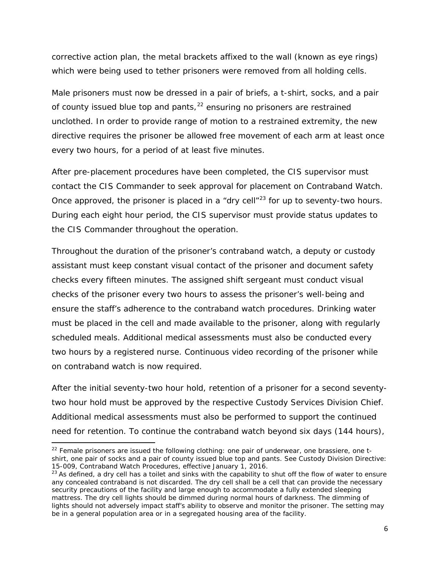corrective action plan, the metal brackets affixed to the wall (known as eye rings) which were being used to tether prisoners were removed from all holding cells.

Male prisoners must now be dressed in a pair of briefs, a t-shirt, socks, and a pair of county issued blue top and pants, <sup>[22](#page-6-0)</sup> ensuring no prisoners are restrained unclothed. In order to provide range of motion to a restrained extremity, the new directive requires the prisoner be allowed free movement of each arm at least once every two hours, for a period of at least five minutes.

After pre-placement procedures have been completed, the CIS supervisor must contact the CIS Commander to seek approval for placement on Contraband Watch. Once approved, the prisoner is placed in a "dry cell"<sup>[23](#page-6-1)</sup> for up to seventy-two hours. During each eight hour period, the CIS supervisor must provide status updates to the CIS Commander throughout the operation.

Throughout the duration of the prisoner's contraband watch, a deputy or custody assistant must keep constant visual contact of the prisoner and document safety checks every fifteen minutes. The assigned shift sergeant must conduct visual checks of the prisoner every two hours to assess the prisoner's well-being and ensure the staff's adherence to the contraband watch procedures. Drinking water must be placed in the cell and made available to the prisoner, along with regularly scheduled meals. Additional medical assessments must also be conducted every two hours by a registered nurse. Continuous video recording of the prisoner while on contraband watch is now required.

After the initial seventy-two hour hold, retention of a prisoner for a second seventytwo hour hold must be approved by the respective Custody Services Division Chief. Additional medical assessments must also be performed to support the continued need for retention. To continue the contraband watch beyond six days (144 hours),

l

<span id="page-6-0"></span> $22$  Female prisoners are issued the following clothing: one pair of underwear, one brassiere, one tshirt, one pair of socks and a pair of county issued blue top and pants. *See* Custody Division Directive:

<span id="page-6-1"></span><sup>15-009,</sup> Contraband Watch Procedures, effective January 1, 2016.<br><sup>23</sup> As defined, a dry cell has a toilet and sinks with the capability to shut off the flow of water to ensure any concealed contraband is not discarded. The dry cell shall be a cell that can provide the necessary security precautions of the facility and large enough to accommodate a fully extended sleeping mattress. The dry cell lights should be dimmed during normal hours of darkness. The dimming of lights should not adversely impact staff's ability to observe and monitor the prisoner. The setting may be in a general population area or in a segregated housing area of the facility.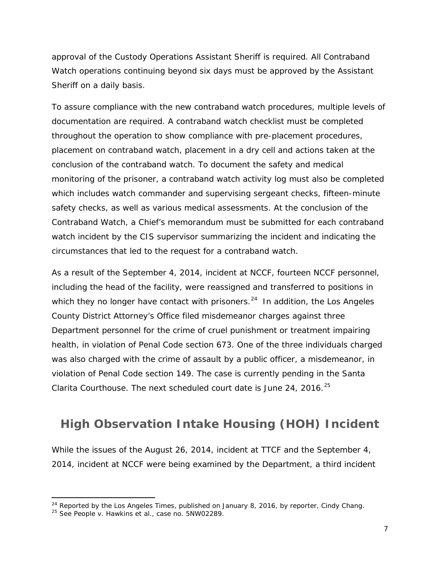approval of the Custody Operations Assistant Sheriff is required. All Contraband Watch operations continuing beyond six days must be approved by the Assistant Sheriff on a daily basis.

To assure compliance with the new contraband watch procedures, multiple levels of documentation are required. A contraband watch checklist must be completed throughout the operation to show compliance with pre-placement procedures, placement on contraband watch, placement in a dry cell and actions taken at the conclusion of the contraband watch. To document the safety and medical monitoring of the prisoner, a contraband watch activity log must also be completed which includes watch commander and supervising sergeant checks, fifteen-minute safety checks, as well as various medical assessments. At the conclusion of the Contraband Watch, a Chief's memorandum must be submitted for each contraband watch incident by the CIS supervisor summarizing the incident and indicating the circumstances that led to the request for a contraband watch.

As a result of the September 4, 2014, incident at NCCF, fourteen NCCF personnel, including the head of the facility, were reassigned and transferred to positions in which they no longer have contact with prisoners. $^{24}$  $^{24}$  $^{24}$  In addition, the Los Angeles County District Attorney's Office filed misdemeanor charges against three Department personnel for the crime of cruel punishment or treatment impairing health, in violation of Penal Code section 673. One of the three individuals charged was also charged with the crime of assault by a public officer, a misdemeanor, in violation of Penal Code section 149. The case is currently pending in the Santa Clarita Courthouse. The next scheduled court date is June 24, 2016.<sup>[25](#page-7-1)</sup>

#### **High Observation Intake Housing (HOH) Incident**

While the issues of the August 26, 2014, incident at TTCF and the September 4, 2014, incident at NCCF were being examined by the Department, a third incident

<span id="page-7-0"></span><sup>&</sup>lt;sup>24</sup> Reported by the Los Angeles Times, published on January 8, 2016, by reporter, Cindy Chang.<br><sup>25</sup> See *People v. Hawkins et al.*, case no. 5NW02289.

<span id="page-7-1"></span>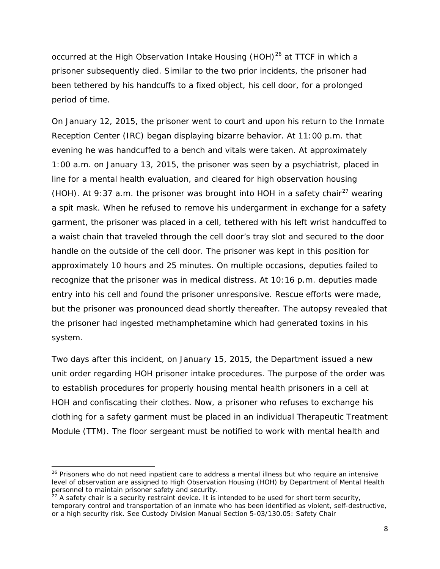occurred at the High Observation Intake Housing (HOH)<sup>[26](#page-8-0)</sup> at TTCF in which a prisoner subsequently died. Similar to the two prior incidents, the prisoner had been tethered by his handcuffs to a fixed object, his cell door, for a prolonged period of time.

On January 12, 2015, the prisoner went to court and upon his return to the Inmate Reception Center (IRC) began displaying bizarre behavior. At 11:00 p.m. that evening he was handcuffed to a bench and vitals were taken. At approximately 1:00 a.m. on January 13, 2015, the prisoner was seen by a psychiatrist, placed in line for a mental health evaluation, and cleared for high observation housing (HOH). At 9:37 a.m. the prisoner was brought into HOH in a safety chair<sup>[27](#page-8-1)</sup> wearing a spit mask. When he refused to remove his undergarment in exchange for a safety garment, the prisoner was placed in a cell, tethered with his left wrist handcuffed to a waist chain that traveled through the cell door's tray slot and secured to the door handle on the outside of the cell door. The prisoner was kept in this position for approximately 10 hours and 25 minutes. On multiple occasions, deputies failed to recognize that the prisoner was in medical distress. At 10:16 p.m. deputies made entry into his cell and found the prisoner unresponsive. Rescue efforts were made, but the prisoner was pronounced dead shortly thereafter. The autopsy revealed that the prisoner had ingested methamphetamine which had generated toxins in his system.

Two days after this incident, on January 15, 2015, the Department issued a new unit order regarding HOH prisoner intake procedures. The purpose of the order was to establish procedures for properly housing mental health prisoners in a cell at HOH and confiscating their clothes. Now, a prisoner who refuses to exchange his clothing for a safety garment must be placed in an individual Therapeutic Treatment Module (TTM). The floor sergeant must be notified to work with mental health and

<span id="page-8-0"></span><sup>&</sup>lt;sup>26</sup> Prisoners who do not need inpatient care to address a mental illness but who require an intensive level of observation are assigned to High Observation Housing (HOH) by Department of Mental Health personnel to maintain prisoner safety and security.<br><sup>27</sup> A safety chair is a security restraint device. It is intended to be used for short term security,

<span id="page-8-1"></span>temporary control and transportation of an inmate who has been identified as violent, self-destructive, or a high security risk. *See* Custody Division Manual Section 5-03/130.05: Safety Chair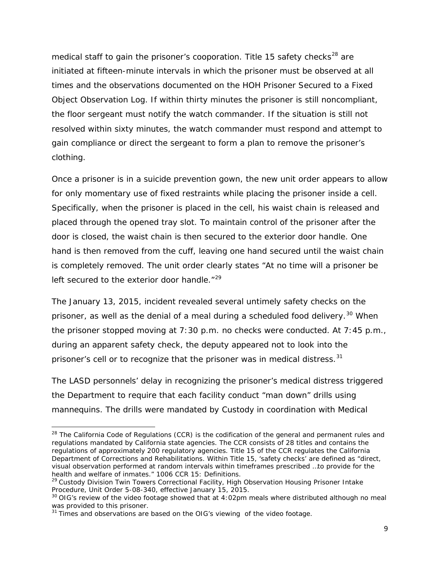medical staff to gain the prisoner's cooporation. Title 15 safety checks<sup>[28](#page-9-0)</sup> are initiated at fifteen-minute intervals in which the prisoner must be observed at all times and the observations documented on the HOH Prisoner Secured to a Fixed Object Observation Log. If within thirty minutes the prisoner is still noncompliant, the floor sergeant must notify the watch commander. If the situation is still not resolved within sixty minutes, the watch commander must respond and attempt to gain compliance or direct the sergeant to form a plan to remove the prisoner's clothing.

Once a prisoner is in a suicide prevention gown, the new unit order appears to allow for only momentary use of fixed restraints while placing the prisoner inside a cell. Specifically, when the prisoner is placed in the cell, his waist chain is released and placed through the opened tray slot. To maintain control of the prisoner after the door is closed, the waist chain is then secured to the exterior door handle. One hand is then removed from the cuff, leaving one hand secured until the waist chain is completely removed. The unit order clearly states "At no time will a prisoner be left secured to the exterior door handle. $129$  $129$ 

The January 13, 2015, incident revealed several untimely safety checks on the prisoner, as well as the denial of a meal during a scheduled food delivery.<sup>[30](#page-9-2)</sup> When the prisoner stopped moving at 7:30 p.m. no checks were conducted. At 7:45 p.m., during an apparent safety check, the deputy appeared not to look into the prisoner's cell or to recognize that the prisoner was in medical distress.<sup>[31](#page-9-3)</sup>

The LASD personnels' delay in recognizing the prisoner's medical distress triggered the Department to require that each facility conduct "man down" drills using mannequins. The drills were mandated by Custody in coordination with Medical

<span id="page-9-0"></span><sup>&</sup>lt;sup>28</sup> The California Code of Regulations (CCR) is the codification of the general and permanent rules and regulations mandated by California state agencies. The CCR consists of 28 titles and contains the regulations of approximately 200 regulatory agencies. Title 15 of the CCR regulates the California Department of Corrections and Rehabilitations. Within Title 15, 'safety checks' are defined as "direct, visual observation performed at random intervals within timeframes prescribed …to provide for the health and welfare of inmates." 1006 CCR 15: Definitions.

<span id="page-9-1"></span><sup>&</sup>lt;sup>29</sup> Custody Division Twin Towers Correctional Facility, High Observation Housing Prisoner Intake Procedure, Unit Order 5-08-340, effective January 15, 2015.

<span id="page-9-2"></span><sup>&</sup>lt;sup>30</sup> OIG's review of the video footage showed that at 4:02pm meals where distributed although no meal was provided to this prisoner.

<span id="page-9-3"></span><sup>&</sup>lt;sup>31</sup> Times and observations are based on the OIG's viewing of the video footage.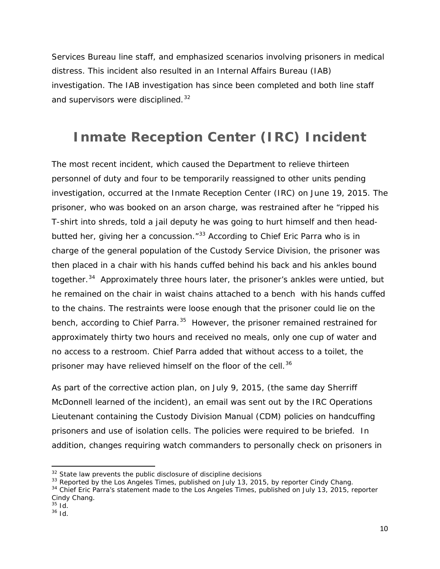Services Bureau line staff, and emphasized scenarios involving prisoners in medical distress. This incident also resulted in an Internal Affairs Bureau (IAB) investigation. The IAB investigation has since been completed and both line staff and supervisors were disciplined.<sup>[32](#page-10-0)</sup>

### **Inmate Reception Center (IRC) Incident**

The most recent incident, which caused the Department to relieve thirteen personnel of duty and four to be temporarily reassigned to other units pending investigation, occurred at the Inmate Reception Center (IRC) on June 19, 2015. The prisoner, who was booked on an arson charge, was restrained after he "ripped his T-shirt into shreds, told a jail deputy he was going to hurt himself and then head-butted her, giving her a concussion.<sup>"[33](#page-10-1)</sup> According to Chief Eric Parra who is in charge of the general population of the Custody Service Division, the prisoner was then placed in a chair with his hands cuffed behind his back and his ankles bound together.<sup>[34](#page-10-2)</sup> Approximately three hours later, the prisoner's ankles were untied, but he remained on the chair in waist chains attached to a bench with his hands cuffed to the chains. The restraints were loose enough that the prisoner could lie on the bench, according to Chief Parra.<sup>[35](#page-10-3)</sup> However, the prisoner remained restrained for approximately thirty two hours and received no meals, only one cup of water and no access to a restroom. Chief Parra added that without access to a toilet, the prisoner may have relieved himself on the floor of the cell.<sup>[36](#page-10-4)</sup>

As part of the corrective action plan, on July 9, 2015, (the same day Sherriff McDonnell learned of the incident), an email was sent out by the IRC Operations Lieutenant containing the Custody Division Manual (CDM) policies on handcuffing prisoners and use of isolation cells. The policies were required to be briefed. In addition, changes requiring watch commanders to personally check on prisoners in

<span id="page-10-0"></span> $32$  State law prevents the public disclosure of discipline decisions

<span id="page-10-1"></span><sup>&</sup>lt;sup>33</sup> Reported by the Los Angeles Times, published on July 13, 2015, by reporter Cindy Chang.

<span id="page-10-2"></span><sup>&</sup>lt;sup>34</sup> Chief Eric Parra's statement made to the Los Angeles Times, published on July 13, 2015, reporter Cindy Chang.

<sup>35</sup> *Id.*

<span id="page-10-4"></span><span id="page-10-3"></span><sup>36</sup> *Id.*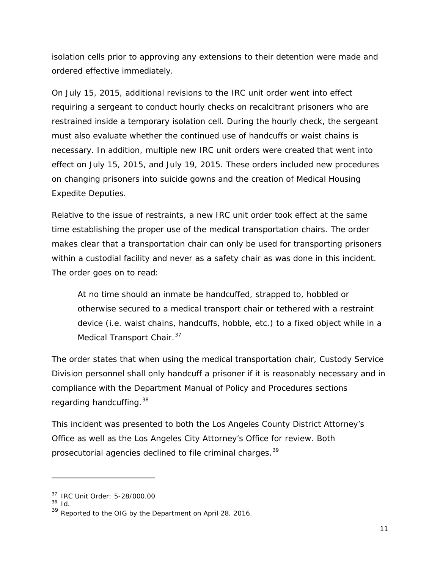isolation cells prior to approving any extensions to their detention were made and ordered effective immediately.

On July 15, 2015, additional revisions to the IRC unit order went into effect requiring a sergeant to conduct hourly checks on recalcitrant prisoners who are restrained inside a temporary isolation cell. During the hourly check, the sergeant must also evaluate whether the continued use of handcuffs or waist chains is necessary. In addition, multiple new IRC unit orders were created that went into effect on July 15, 2015, and July 19, 2015. These orders included new procedures on changing prisoners into suicide gowns and the creation of Medical Housing Expedite Deputies.

Relative to the issue of restraints, a new IRC unit order took effect at the same time establishing the proper use of the medical transportation chairs. The order makes clear that a transportation chair can only be used for transporting prisoners within a custodial facility and never as a safety chair as was done in this incident. The order goes on to read:

At no time should an inmate be handcuffed, strapped to, hobbled or otherwise secured to a medical transport chair or tethered with a restraint device (i.e. waist chains, handcuffs, hobble, etc.) to a fixed object while in a Medical Transport Chair.<sup>[37](#page-11-0)</sup>

The order states that when using the medical transportation chair, Custody Service Division personnel shall only handcuff a prisoner if it is reasonably necessary and in compliance with the Department Manual of Policy and Procedures sections regarding handcuffing.[38](#page-11-1)

This incident was presented to both the Los Angeles County District Attorney's Office as well as the Los Angeles City Attorney's Office for review. Both prosecutorial agencies declined to file criminal charges.<sup>[39](#page-11-2)</sup>

<span id="page-11-0"></span><sup>37</sup> IRC Unit Order: 5-28/000.00

<sup>38</sup> *Id.*

<span id="page-11-2"></span><span id="page-11-1"></span><sup>&</sup>lt;sup>39</sup> Reported to the OIG by the Department on April 28, 2016.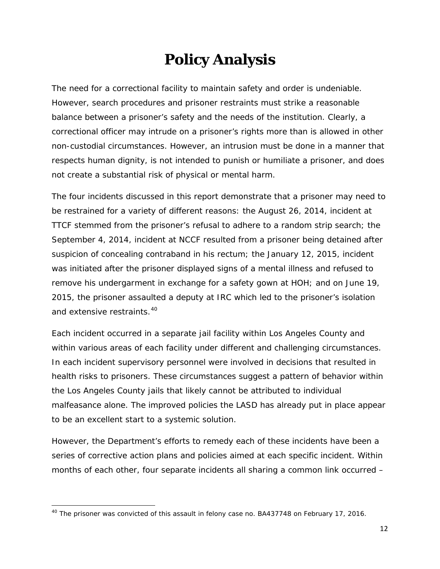## **Policy Analysis**

The need for a correctional facility to maintain safety and order is undeniable. However, search procedures and prisoner restraints must strike a reasonable balance between a prisoner's safety and the needs of the institution. Clearly, a correctional officer may intrude on a prisoner's rights more than is allowed in other non-custodial circumstances. However, an intrusion must be done in a manner that respects human dignity, is not intended to punish or humiliate a prisoner, and does not create a substantial risk of physical or mental harm.

The four incidents discussed in this report demonstrate that a prisoner may need to be restrained for a variety of different reasons: the August 26, 2014, incident at TTCF stemmed from the prisoner's refusal to adhere to a random strip search; the September 4, 2014, incident at NCCF resulted from a prisoner being detained after suspicion of concealing contraband in his rectum; the January 12, 2015, incident was initiated after the prisoner displayed signs of a mental illness and refused to remove his undergarment in exchange for a safety gown at HOH; and on June 19, 2015, the prisoner assaulted a deputy at IRC which led to the prisoner's isolation and extensive restraints.<sup>[40](#page-12-0)</sup>

Each incident occurred in a separate jail facility within Los Angeles County and within various areas of each facility under different and challenging circumstances. In each incident supervisory personnel were involved in decisions that resulted in health risks to prisoners. These circumstances suggest a pattern of behavior within the Los Angeles County jails that likely cannot be attributed to individual malfeasance alone. The improved policies the LASD has already put in place appear to be an excellent start to a systemic solution.

However, the Department's efforts to remedy each of these incidents have been a series of corrective action plans and policies aimed at each specific incident. Within months of each other, four separate incidents all sharing a common link occurred –

<span id="page-12-0"></span><sup>&</sup>lt;sup>40</sup> The prisoner was convicted of this assault in felony case no. BA437748 on February 17, 2016.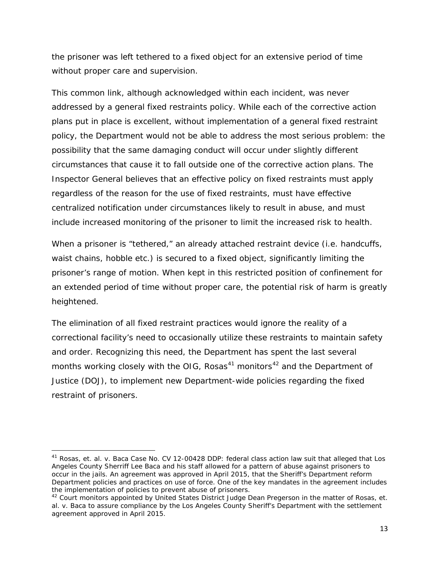the prisoner was left tethered to a fixed object for an extensive period of time without proper care and supervision.

This common link, although acknowledged within each incident, was never addressed by a general fixed restraints policy. While each of the corrective action plans put in place is excellent, without implementation of a general fixed restraint policy, the Department would not be able to address the most serious problem: the possibility that the same damaging conduct will occur under slightly different circumstances that cause it to fall outside one of the corrective action plans. The Inspector General believes that an effective policy on fixed restraints must apply regardless of the reason for the use of fixed restraints, must have effective centralized notification under circumstances likely to result in abuse, and must include increased monitoring of the prisoner to limit the increased risk to health.

When a prisoner is "tethered," an already attached restraint device (i.e. handcuffs, waist chains, hobble etc.) is secured to a fixed object, significantly limiting the prisoner's range of motion. When kept in this restricted position of confinement for an extended period of time without proper care, the potential risk of harm is greatly heightened.

The elimination of all fixed restraint practices would ignore the reality of a correctional facility's need to occasionally utilize these restraints to maintain safety and order. Recognizing this need, the Department has spent the last several months working closely with the OIG,  $Rosas<sup>41</sup>$  $Rosas<sup>41</sup>$  $Rosas<sup>41</sup>$  monitors<sup>[42](#page-13-1)</sup> and the Department of Justice (DOJ), to implement new Department-wide policies regarding the fixed restraint of prisoners.

<span id="page-13-0"></span><sup>41</sup> *Rosas, et. al. v. Baca* Case No. CV 12-00428 DDP: federal class action law suit that alleged that Los Angeles County Sherriff Lee Baca and his staff allowed for a pattern of abuse against prisoners to occur in the jails. An agreement was approved in April 2015, that the Sheriff's Department reform Department policies and practices on use of force. One of the key mandates in the agreement includes the implementation of policies to prevent abuse of prisoners.

<span id="page-13-1"></span><sup>42</sup> Court monitors appointed by United States District Judge Dean Pregerson in the matter of *Rosas, et. al. v. Baca* to assure compliance by the Los Angeles County Sheriff's Department with the settlement agreement approved in April 2015.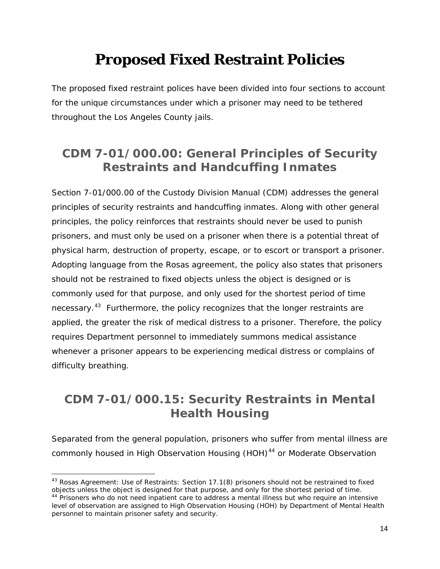## **Proposed Fixed Restraint Policies**

The proposed fixed restraint polices have been divided into four sections to account for the unique circumstances under which a prisoner may need to be tethered throughout the Los Angeles County jails.

### **CDM 7-01/000.00: General Principles of Security Restraints and Handcuffing Inmates**

Section 7-01/000.00 of the Custody Division Manual (CDM) addresses the general principles of security restraints and handcuffing inmates. Along with other general principles, the policy reinforces that restraints should never be used to punish prisoners, and must only be used on a prisoner when there is a potential threat of physical harm, destruction of property, escape, or to escort or transport a prisoner. Adopting language from the *Rosas* agreement, the policy also states that prisoners should not be restrained to fixed objects unless the object is designed or is commonly used for that purpose, and only used for the shortest period of time necessary.<sup>43</sup> Furthermore, the policy recognizes that the longer restraints are applied, the greater the risk of medical distress to a prisoner. Therefore, the policy requires Department personnel to immediately summons medical assistance whenever a prisoner appears to be experiencing medical distress or complains of difficulty breathing.

### **CDM 7-01/000.15: Security Restraints in Mental Health Housing**

Separated from the general population, prisoners who suffer from mental illness are commonly housed in High Observation Housing (HOH)<sup>[44](#page-14-1)</sup> or Moderate Observation

<span id="page-14-0"></span><sup>43</sup> *Rosas* Agreement: Use of Restraints: Section 17.1(8) prisoners should not be restrained to fixed objects unless the object is designed for that purpose, and only for the shortest period of time. <sup>44</sup> Prisoners who do not need inpatient care to address a mental illness but who require an intensive level of observation are assigned to High Observation Housing (HOH) by Department of Mental Health

<span id="page-14-1"></span>personnel to maintain prisoner safety and security.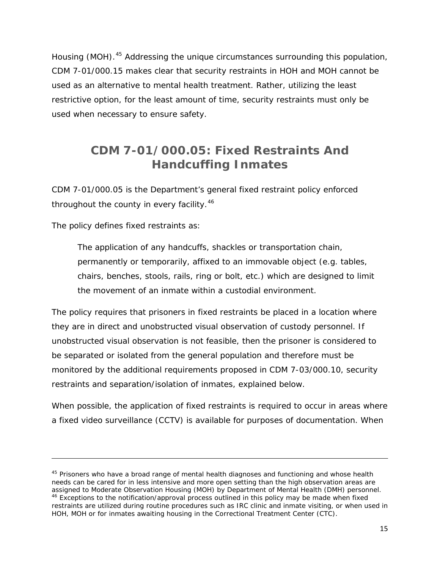Housing (MOH).[45](#page-15-0) Addressing the unique circumstances surrounding this population, CDM 7-01/000.15 makes clear that security restraints in HOH and MOH cannot be used as an alternative to mental health treatment. Rather, utilizing the least restrictive option, for the least amount of time, security restraints must only be used when necessary to ensure safety.

### **CDM 7-01/000.05: Fixed Restraints And Handcuffing Inmates**

CDM 7-01/000.05 is the Department's general fixed restraint policy enforced throughout the county in every facility.<sup>[46](#page-15-1)</sup>

The policy defines fixed restraints as:

 $\overline{\phantom{a}}$ 

The application of any handcuffs, shackles or transportation chain, permanently or temporarily, affixed to an immovable object (e.g. tables, chairs, benches, stools, rails, ring or bolt, etc.) which are designed to limit the movement of an inmate within a custodial environment.

The policy requires that prisoners in fixed restraints be placed in a location where they are in direct and unobstructed visual observation of custody personnel. If unobstructed visual observation is not feasible, then the prisoner is considered to be separated or isolated from the general population and therefore must be monitored by the additional requirements proposed in CDM 7-03/000.10, security restraints and separation/isolation of inmates, explained below.

When possible, the application of fixed restraints is required to occur in areas where a fixed video surveillance (CCTV) is available for purposes of documentation. When

<span id="page-15-1"></span><span id="page-15-0"></span> $45$  Prisoners who have a broad range of mental health diagnoses and functioning and whose health needs can be cared for in less intensive and more open setting than the high observation areas are assigned to Moderate Observation Housing (MOH) by Department of Mental Health (DMH) personnel. <sup>46</sup> Exceptions to the notification/approval process outlined in this policy may be made when fixed restraints are utilized during routine procedures such as IRC clinic and inmate visiting, or when used in HOH, MOH or for inmates awaiting housing in the Correctional Treatment Center (CTC).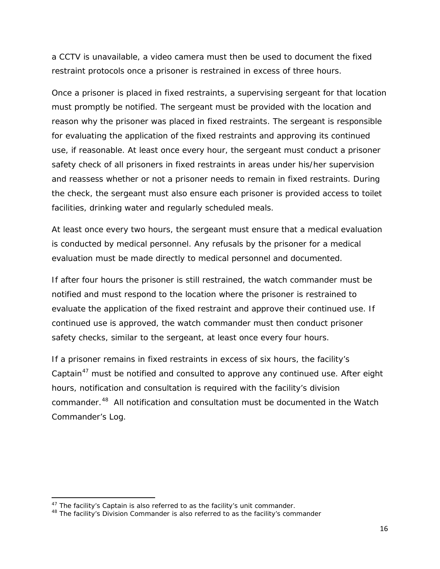a CCTV is unavailable, a video camera must then be used to document the fixed restraint protocols once a prisoner is restrained in excess of three hours.

Once a prisoner is placed in fixed restraints, a supervising sergeant for that location must promptly be notified. The sergeant must be provided with the location and reason why the prisoner was placed in fixed restraints. The sergeant is responsible for evaluating the application of the fixed restraints and approving its continued use, if reasonable. At least once every hour, the sergeant must conduct a prisoner safety check of all prisoners in fixed restraints in areas under his/her supervision and reassess whether or not a prisoner needs to remain in fixed restraints. During the check, the sergeant must also ensure each prisoner is provided access to toilet facilities, drinking water and regularly scheduled meals.

At least once every two hours, the sergeant must ensure that a medical evaluation is conducted by medical personnel. Any refusals by the prisoner for a medical evaluation must be made directly to medical personnel and documented.

If after four hours the prisoner is still restrained, the watch commander must be notified and must respond to the location where the prisoner is restrained to evaluate the application of the fixed restraint and approve their continued use. If continued use is approved, the watch commander must then conduct prisoner safety checks, similar to the sergeant, at least once every four hours.

If a prisoner remains in fixed restraints in excess of six hours, the facility's Captain<sup>[47](#page-16-0)</sup> must be notified and consulted to approve any continued use. After eight hours, notification and consultation is required with the facility's division commander.<sup>48</sup> All notification and consultation must be documented in the Watch Commander's Log.

<span id="page-16-1"></span><span id="page-16-0"></span><sup>&</sup>lt;sup>47</sup> The facility's Captain is also referred to as the facility's unit commander.<br><sup>48</sup> The facility's Division Commander is also referred to as the facility's commander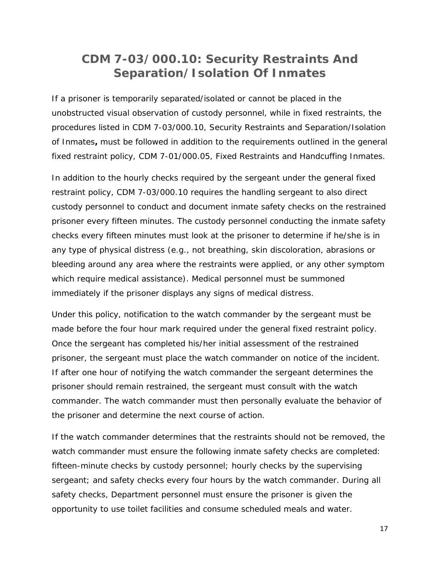#### **CDM 7-03/000.10: Security Restraints And Separation/Isolation Of Inmates**

If a prisoner is temporarily separated/isolated or cannot be placed in the unobstructed visual observation of custody personnel, while in fixed restraints, the procedures listed in CDM 7-03/000.10, Security Restraints and Separation/Isolation of Inmates**,** must be followed *in addition* to the requirements outlined in the general fixed restraint policy, CDM 7-01/000.05, Fixed Restraints and Handcuffing Inmates.

In addition to the hourly checks required by the sergeant under the general fixed restraint policy, CDM 7-03/000.10 requires the handling sergeant to also direct custody personnel to conduct and document inmate safety checks on the restrained prisoner every fifteen minutes. The custody personnel conducting the inmate safety checks every fifteen minutes must look at the prisoner to determine if he/she is in any type of physical distress (e.g., not breathing, skin discoloration, abrasions or bleeding around any area where the restraints were applied, or any other symptom which require medical assistance). Medical personnel must be summoned immediately if the prisoner displays any signs of medical distress.

Under this policy, notification to the watch commander by the sergeant must be made before the four hour mark required under the general fixed restraint policy. Once the sergeant has completed his/her initial assessment of the restrained prisoner, the sergeant must place the watch commander on notice of the incident. If after one hour of notifying the watch commander the sergeant determines the prisoner should remain restrained, the sergeant must consult with the watch commander. The watch commander must then personally evaluate the behavior of the prisoner and determine the next course of action.

If the watch commander determines that the restraints should not be removed, the watch commander must ensure the following inmate safety checks are completed: fifteen-minute checks by custody personnel; hourly checks by the supervising sergeant; and safety checks every four hours by the watch commander. During all safety checks, Department personnel must ensure the prisoner is given the opportunity to use toilet facilities and consume scheduled meals and water.